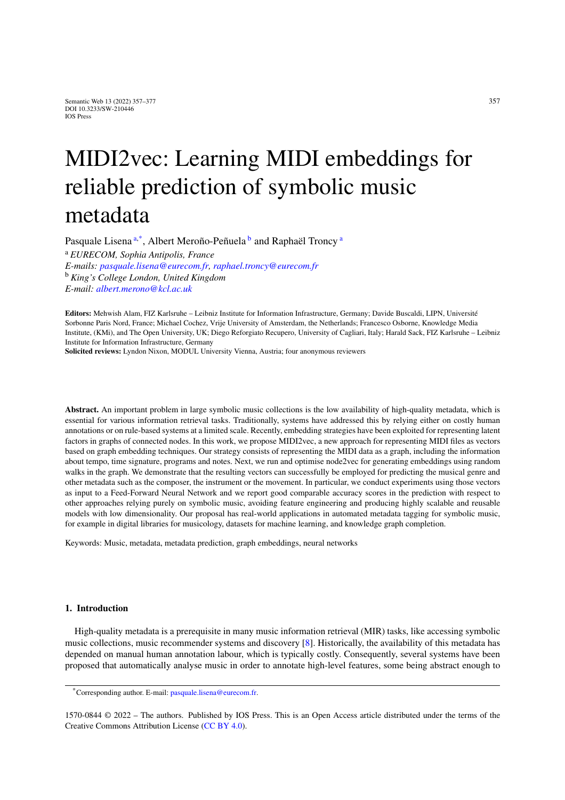# MIDI2vec: Learning MIDI embeddings for reliable prediction of symbolic music metadata

<span id="page-0-0"></span>P[a](#page-0-0)squale Lisena<sup>a[,\\*](#page-0-1)</sup>, Al[b](#page-0-2)ert Meroño-Peñuela<sup>b</sup> and Raphaël Troncy<sup>a</sup>

<span id="page-0-2"></span><sup>a</sup> *EURECOM, Sophia Antipolis, France E-mails: [pasquale.lisena@eurecom.fr,](mailto:pasquale.lisena@eurecom.fr) [raphael.troncy@eurecom.fr](mailto:raphael.troncy@eurecom.fr)* <sup>b</sup> *King's College London, United Kingdom E-mail: [albert.merono@kcl.ac.uk](mailto:albert.merono@kcl.ac.uk)*

**Editors:** Mehwish Alam, FIZ Karlsruhe – Leibniz Institute for Information Infrastructure, Germany; Davide Buscaldi, LIPN, Université Sorbonne Paris Nord, France; Michael Cochez, Vrije University of Amsterdam, the Netherlands; Francesco Osborne, Knowledge Media Institute, (KMi), and The Open University, UK; Diego Reforgiato Recupero, University of Cagliari, Italy; Harald Sack, FIZ Karlsruhe – Leibniz Institute for Information Infrastructure, Germany

**Solicited reviews:** Lyndon Nixon, MODUL University Vienna, Austria; four anonymous reviewers

**Abstract.** An important problem in large symbolic music collections is the low availability of high-quality metadata, which is essential for various information retrieval tasks. Traditionally, systems have addressed this by relying either on costly human annotations or on rule-based systems at a limited scale. Recently, embedding strategies have been exploited for representing latent factors in graphs of connected nodes. In this work, we propose MIDI2vec, a new approach for representing MIDI files as vectors based on graph embedding techniques. Our strategy consists of representing the MIDI data as a graph, including the information about tempo, time signature, programs and notes. Next, we run and optimise node2vec for generating embeddings using random walks in the graph. We demonstrate that the resulting vectors can successfully be employed for predicting the musical genre and other metadata such as the composer, the instrument or the movement. In particular, we conduct experiments using those vectors as input to a Feed-Forward Neural Network and we report good comparable accuracy scores in the prediction with respect to other approaches relying purely on symbolic music, avoiding feature engineering and producing highly scalable and reusable models with low dimensionality. Our proposal has real-world applications in automated metadata tagging for symbolic music, for example in digital libraries for musicology, datasets for machine learning, and knowledge graph completion.

Keywords: Music, metadata, metadata prediction, graph embeddings, neural networks

# **1. Introduction**

High-quality metadata is a prerequisite in many music information retrieval (MIR) tasks, like accessing symbolic music collections, music recommender systems and discovery [\[8](#page-18-0)]. Historically, the availability of this metadata has depended on manual human annotation labour, which is typically costly. Consequently, several systems have been proposed that automatically analyse music in order to annotate high-level features, some being abstract enough to

<span id="page-0-1"></span><sup>\*</sup>Corresponding author. E-mail: [pasquale.lisena@eurecom.fr](mailto:pasquale.lisena@eurecom.fr).

<sup>1570-0844 © 2022 –</sup> The authors. Published by IOS Press. This is an Open Access article distributed under the terms of the Creative Commons Attribution License ([CC BY 4.0](https://creativecommons.org/licenses/by/4.0/)).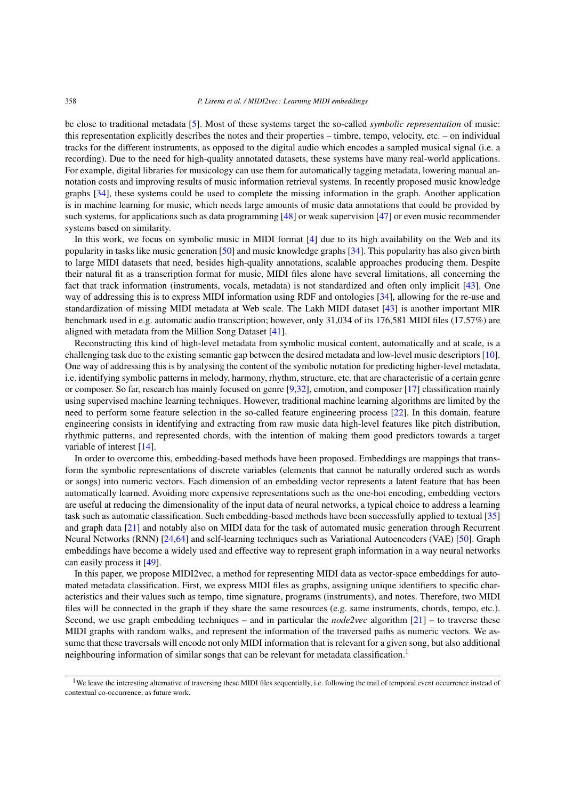be close to traditional metadata [\[5](#page-18-1)]. Most of these systems target the so-called *symbolic representation* of music: this representation explicitly describes the notes and their properties – timbre, tempo, velocity, etc. – on individual tracks for the different instruments, as opposed to the digital audio which encodes a sampled musical signal (i.e. a recording). Due to the need for high-quality annotated datasets, these systems have many real-world applications. For example, digital libraries for musicology can use them for automatically tagging metadata, lowering manual annotation costs and improving results of music information retrieval systems. In recently proposed music knowledge graphs [[34\]](#page-19-0), these systems could be used to complete the missing information in the graph. Another application is in machine learning for music, which needs large amounts of music data annotations that could be provided by such systems, for applications such as data programming [[48\]](#page-19-1) or weak supervision [\[47](#page-19-2)] or even music recommender systems based on similarity.

In this work, we focus on symbolic music in MIDI format [\[4](#page-18-2)] due to its high availability on the Web and its popularity in tasks like music generation [\[50\]](#page-19-3) and music knowledge graphs [\[34\]](#page-19-0). This popularity has also given birth to large MIDI datasets that need, besides high-quality annotations, scalable approaches producing them. Despite their natural fit as a transcription format for music, MIDI files alone have several limitations, all concerning the fact that track information (instruments, vocals, metadata) is not standardized and often only implicit [[43\]](#page-19-4). One way of addressing this is to express MIDI information using RDF and ontologies [\[34](#page-19-0)], allowing for the re-use and standardization of missing MIDI metadata at Web scale. The Lakh MIDI dataset [[43\]](#page-19-4) is another important MIR benchmark used in e.g. automatic audio transcription; however, only 31,034 of its 176,581 MIDI files (17.57%) are aligned with metadata from the Million Song Dataset [\[41\]](#page-19-5).

Reconstructing this kind of high-level metadata from symbolic musical content, automatically and at scale, is a challenging task due to the existing semantic gap between the desired metadata and low-level music descriptors [\[10\]](#page-18-3). One way of addressing this is by analysing the content of the symbolic notation for predicting higher-level metadata, i.e. identifying symbolic patterns in melody, harmony, rhythm, structure, etc. that are characteristic of a certain genre or composer. So far, research has mainly focused on genre [[9](#page-18-4)[,32](#page-19-6)], emotion, and composer [\[17](#page-18-5)] classification mainly using supervised machine learning techniques. However, traditional machine learning algorithms are limited by the need to perform some feature selection in the so-called feature engineering process [[22\]](#page-18-6). In this domain, feature engineering consists in identifying and extracting from raw music data high-level features like pitch distribution, rhythmic patterns, and represented chords, with the intention of making them good predictors towards a target variable of interest [[14\]](#page-18-7).

In order to overcome this, embedding-based methods have been proposed. Embeddings are mappings that transform the symbolic representations of discrete variables (elements that cannot be naturally ordered such as words or songs) into numeric vectors. Each dimension of an embedding vector represents a latent feature that has been automatically learned. Avoiding more expensive representations such as the one-hot encoding, embedding vectors are useful at reducing the dimensionality of the input data of neural networks, a typical choice to address a learning task such as automatic classification. Such embedding-based methods have been successfully applied to textual [\[35](#page-19-7)] and graph data [\[21](#page-18-8)] and notably also on MIDI data for the task of automated music generation through Recurrent Neural Networks (RNN) [[24](#page-18-9)[,64](#page-20-0)] and self-learning techniques such as Variational Autoencoders (VAE) [\[50\]](#page-19-3). Graph embeddings have become a widely used and effective way to represent graph information in a way neural networks can easily process it [\[49](#page-19-8)].

In this paper, we propose MIDI2vec, a method for representing MIDI data as vector-space embeddings for automated metadata classification. First, we express MIDI files as graphs, assigning unique identifiers to specific characteristics and their values such as tempo, time signature, programs (instruments), and notes. Therefore, two MIDI files will be connected in the graph if they share the same resources (e.g. same instruments, chords, tempo, etc.). Second, we use graph embedding techniques – and in particular the *node2vec* algorithm [[21\]](#page-18-8) – to traverse these MIDI graphs with random walks, and represent the information of the traversed paths as numeric vectors. We assume that these traversals will encode not only MIDI information that is relevant for a given song, but also additional neighbouring information of similar songs that can be relevant for metadata classification.<sup>[1](#page-1-0)</sup>

<span id="page-1-0"></span><sup>&</sup>lt;sup>1</sup>We leave the interesting alternative of traversing these MIDI files sequentially, i.e. following the trail of temporal event occurrence instead of contextual co-occurrence, as future work.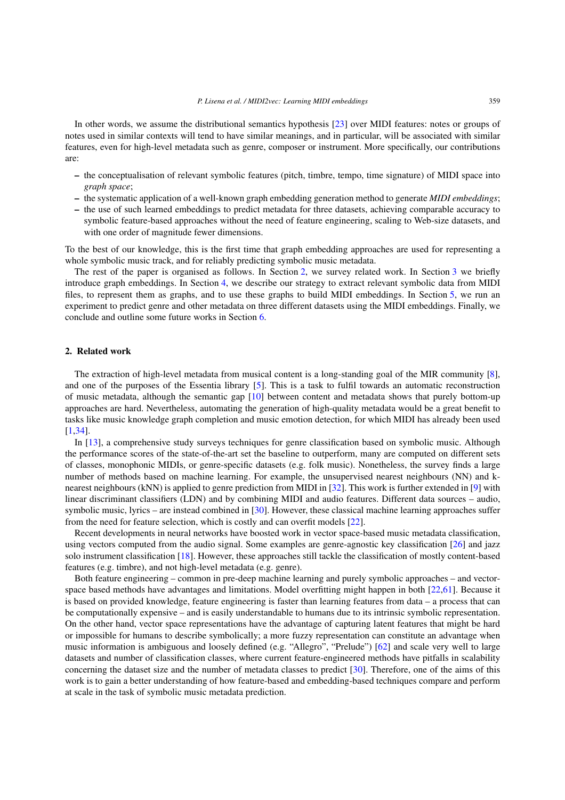In other words, we assume the distributional semantics hypothesis [[23\]](#page-18-10) over MIDI features: notes or groups of notes used in similar contexts will tend to have similar meanings, and in particular, will be associated with similar features, even for high-level metadata such as genre, composer or instrument. More specifically, our contributions are:

- **–** the conceptualisation of relevant symbolic features (pitch, timbre, tempo, time signature) of MIDI space into *graph space*;
- **–** the systematic application of a well-known graph embedding generation method to generate *MIDI embeddings*;
- **–** the use of such learned embeddings to predict metadata for three datasets, achieving comparable accuracy to symbolic feature-based approaches without the need of feature engineering, scaling to Web-size datasets, and with one order of magnitude fewer dimensions.

To the best of our knowledge, this is the first time that graph embedding approaches are used for representing a whole symbolic music track, and for reliably predicting symbolic music metadata.

The rest of the paper is organised as follows. In Section [2,](#page-2-0) we survey related work. In Section [3](#page-3-0) we briefly introduce graph embeddings. In Section [4,](#page-4-0) we describe our strategy to extract relevant symbolic data from MIDI files, to represent them as graphs, and to use these graphs to build MIDI embeddings. In Section [5,](#page-7-0) we run an experiment to predict genre and other metadata on three different datasets using the MIDI embeddings. Finally, we conclude and outline some future works in Section [6](#page-16-0).

## <span id="page-2-0"></span>**2. Related work**

The extraction of high-level metadata from musical content is a long-standing goal of the MIR community [\[8\]](#page-18-0), and one of the purposes of the Essentia library [\[5](#page-18-1)]. This is a task to fulfil towards an automatic reconstruction of music metadata, although the semantic gap  $[10]$  $[10]$  between content and metadata shows that purely bottom-up approaches are hard. Nevertheless, automating the generation of high-quality metadata would be a great benefit to tasks like music knowledge graph completion and music emotion detection, for which MIDI has already been used [[1](#page-17-0)[,34](#page-19-0)].

In [\[13](#page-18-11)], a comprehensive study surveys techniques for genre classification based on symbolic music. Although the performance scores of the state-of-the-art set the baseline to outperform, many are computed on different sets of classes, monophonic MIDIs, or genre-specific datasets (e.g. folk music). Nonetheless, the survey finds a large number of methods based on machine learning. For example, the unsupervised nearest neighbours (NN) and knearest neighbours (kNN) is applied to genre prediction from MIDI in [\[32](#page-19-6)]. This work is further extended in [[9\]](#page-18-4) with linear discriminant classifiers (LDN) and by combining MIDI and audio features. Different data sources – audio, symbolic music, lyrics – are instead combined in [\[30](#page-18-12)]. However, these classical machine learning approaches suffer from the need for feature selection, which is costly and can overfit models [\[22](#page-18-6)].

Recent developments in neural networks have boosted work in vector space-based music metadata classification, using vectors computed from the audio signal. Some examples are genre-agnostic key classification [\[26](#page-18-13)] and jazz solo instrument classification [\[18](#page-18-14)]. However, these approaches still tackle the classification of mostly content-based features (e.g. timbre), and not high-level metadata (e.g. genre).

Both feature engineering – common in pre-deep machine learning and purely symbolic approaches – and vectorspace based methods have advantages and limitations. Model overfitting might happen in both [[22](#page-18-6)[,61\]](#page-20-1). Because it is based on provided knowledge, feature engineering is faster than learning features from data – a process that can be computationally expensive – and is easily understandable to humans due to its intrinsic symbolic representation. On the other hand, vector space representations have the advantage of capturing latent features that might be hard or impossible for humans to describe symbolically; a more fuzzy representation can constitute an advantage when music information is ambiguous and loosely defined (e.g. "Allegro", "Prelude") [\[62](#page-20-2)] and scale very well to large datasets and number of classification classes, where current feature-engineered methods have pitfalls in scalability concerning the dataset size and the number of metadata classes to predict [[30\]](#page-18-12). Therefore, one of the aims of this work is to gain a better understanding of how feature-based and embedding-based techniques compare and perform at scale in the task of symbolic music metadata prediction.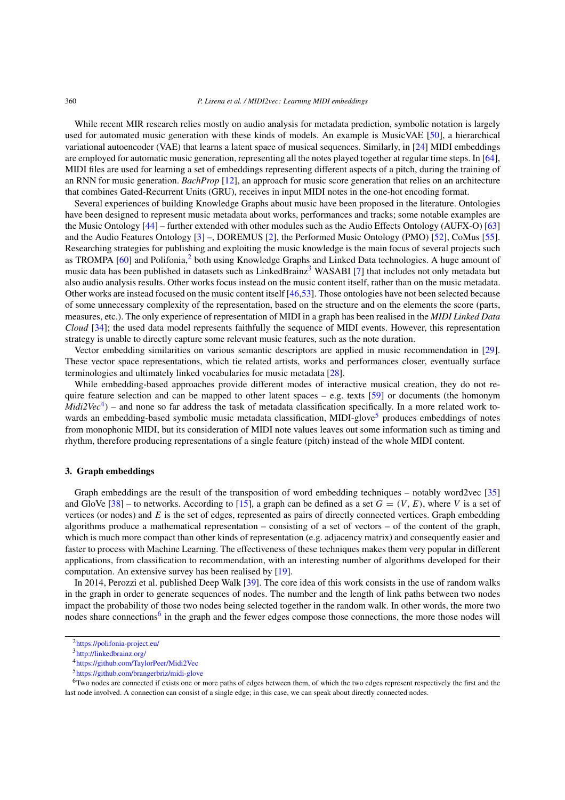While recent MIR research relies mostly on audio analysis for metadata prediction, symbolic notation is largely used for automated music generation with these kinds of models. An example is MusicVAE [[50\]](#page-19-3), a hierarchical variational autoencoder (VAE) that learns a latent space of musical sequences. Similarly, in [[24\]](#page-18-9) MIDI embeddings are employed for automatic music generation, representing all the notes played together at regular time steps. In [\[64\]](#page-20-0), MIDI files are used for learning a set of embeddings representing different aspects of a pitch, during the training of an RNN for music generation. *BachProp* [[12\]](#page-18-15), an approach for music score generation that relies on an architecture that combines Gated-Recurrent Units (GRU), receives in input MIDI notes in the one-hot encoding format.

Several experiences of building Knowledge Graphs about music have been proposed in the literature. Ontologies have been designed to represent music metadata about works, performances and tracks; some notable examples are the Music Ontology [\[44](#page-19-9)] – further extended with other modules such as the Audio Effects Ontology (AUFX-O) [\[63](#page-20-3)] and the Audio Features Ontology [\[3](#page-18-16)] –, DOREMUS [[2\]](#page-17-1), the Performed Music Ontology (PMO) [\[52](#page-19-10)], CoMus [[55\]](#page-19-11). Researching strategies for publishing and exploiting the music knowledge is the main focus of several projects such as TROMPA [[60\]](#page-20-4) and Polifonia,<sup>[2](#page-3-1)</sup> both using Knowledge Graphs and Linked Data technologies. A huge amount of music data has been published in datasets such as LinkedBrainz<sup>3</sup> WASABI [\[7](#page-18-17)] that includes not only metadata but also audio analysis results. Other works focus instead on the music content itself, rather than on the music metadata. Other works are instead focused on the music content itself [\[46](#page-19-12),[53\]](#page-19-13). Those ontologies have not been selected because of some unnecessary complexity of the representation, based on the structure and on the elements the score (parts, measures, etc.). The only experience of representation of MIDI in a graph has been realised in the *MIDI Linked Data Cloud* [[34\]](#page-19-0); the used data model represents faithfully the sequence of MIDI events. However, this representation strategy is unable to directly capture some relevant music features, such as the note duration.

Vector embedding similarities on various semantic descriptors are applied in music recommendation in [\[29\]](#page-18-18). These vector space representations, which tie related artists, works and performances closer, eventually surface terminologies and ultimately linked vocabularies for music metadata [\[28](#page-18-19)].

While embedding-based approaches provide different modes of interactive musical creation, they do not require feature selection and can be mapped to other latent spaces – e.g. texts  $[59]$  $[59]$  or documents (the homonym *Midi2Vec*<sup>[4](#page-3-3)</sup>) – and none so far address the task of metadata classification specifically. In a more related work to-wards an embedding-based symbolic music metadata classification, MIDI-glove<sup>[5](#page-3-4)</sup> produces embeddings of notes from monophonic MIDI, but its consideration of MIDI note values leaves out some information such as timing and rhythm, therefore producing representations of a single feature (pitch) instead of the whole MIDI content.

## <span id="page-3-0"></span>**3. Graph embeddings**

Graph embeddings are the result of the transposition of word embedding techniques – notably word2vec [\[35](#page-19-7)] and GloVe [\[38](#page-19-15)] – to networks. According to [[15\]](#page-18-20), a graph can be defined as a set  $G = (V, E)$ , where *V* is a set of vertices (or nodes) and *E* is the set of edges, represented as pairs of directly connected vertices. Graph embedding algorithms produce a mathematical representation – consisting of a set of vectors – of the content of the graph, which is much more compact than other kinds of representation (e.g. adjacency matrix) and consequently easier and faster to process with Machine Learning. The effectiveness of these techniques makes them very popular in different applications, from classification to recommendation, with an interesting number of algorithms developed for their computation. An extensive survey has been realised by [\[19\]](#page-18-21).

In 2014, Perozzi et al. published Deep Walk [[39\]](#page-19-16). The core idea of this work consists in the use of random walks in the graph in order to generate sequences of nodes. The number and the length of link paths between two nodes impact the probability of those two nodes being selected together in the random walk. In other words, the more two nodes share connections<sup>6</sup> in the graph and the fewer edges compose those connections, the more those nodes will

<span id="page-3-1"></span><sup>2</sup><https://polifonia-project.eu/>

<span id="page-3-2"></span><sup>3</sup><http://linkedbrainz.org/>

<span id="page-3-3"></span><sup>4</sup><https://github.com/TaylorPeer/Midi2Vec>

<span id="page-3-5"></span><span id="page-3-4"></span><sup>5</sup><https://github.com/brangerbriz/midi-glove>

<sup>6</sup>Two nodes are connected if exists one or more paths of edges between them, of which the two edges represent respectively the first and the last node involved. A connection can consist of a single edge; in this case, we can speak about directly connected nodes.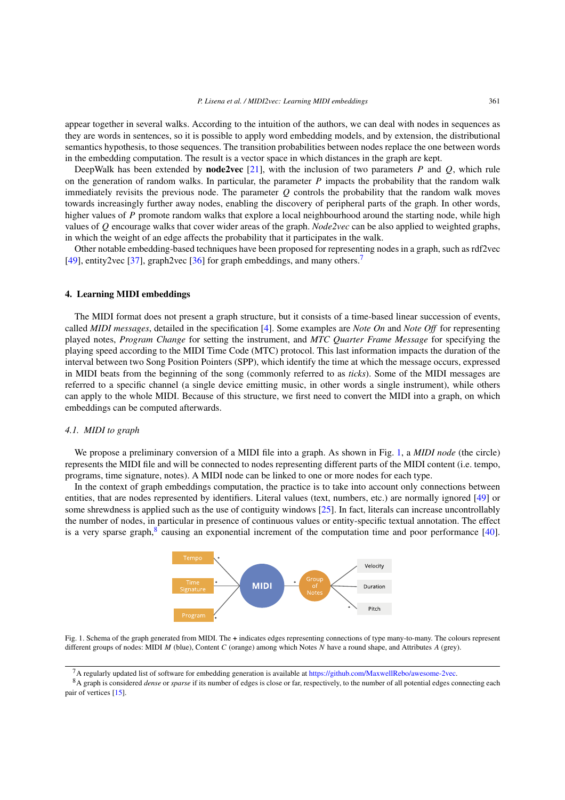appear together in several walks. According to the intuition of the authors, we can deal with nodes in sequences as they are words in sentences, so it is possible to apply word embedding models, and by extension, the distributional semantics hypothesis, to those sequences. The transition probabilities between nodes replace the one between words in the embedding computation. The result is a vector space in which distances in the graph are kept.

DeepWalk has been extended by **node2vec** [\[21](#page-18-8)], with the inclusion of two parameters *P* and *Q*, which rule on the generation of random walks. In particular, the parameter *P* impacts the probability that the random walk immediately revisits the previous node. The parameter *Q* controls the probability that the random walk moves towards increasingly further away nodes, enabling the discovery of peripheral parts of the graph. In other words, higher values of P promote random walks that explore a local neighbourhood around the starting node, while high values of *Q* encourage walks that cover wider areas of the graph. *Node2vec* can be also applied to weighted graphs, in which the weight of an edge affects the probability that it participates in the walk.

Other notable embedding-based techniques have been proposed for representing nodes in a graph, such as rdf2vec [[49\]](#page-19-8), entity2vec [\[37](#page-19-17)], graph2vec [[36\]](#page-19-18) for graph embeddings, and many others.<sup>7</sup>

### <span id="page-4-0"></span>**4. Learning MIDI embeddings**

The MIDI format does not present a graph structure, but it consists of a time-based linear succession of events, called *MIDI messages*, detailed in the specification [\[4](#page-18-2)]. Some examples are *Note On* and *Note Off* for representing played notes, *Program Change* for setting the instrument, and *MTC Quarter Frame Message* for specifying the playing speed according to the MIDI Time Code (MTC) protocol. This last information impacts the duration of the interval between two Song Position Pointers (SPP), which identify the time at which the message occurs, expressed in MIDI beats from the beginning of the song (commonly referred to as *ticks*). Some of the MIDI messages are referred to a specific channel (a single device emitting music, in other words a single instrument), while others can apply to the whole MIDI. Because of this structure, we first need to convert the MIDI into a graph, on which embeddings can be computed afterwards.

# *4.1. MIDI to graph*

We propose a preliminary conversion of a MIDI file into a graph. As shown in Fig. [1,](#page-4-2) a *MIDI node* (the circle) represents the MIDI file and will be connected to nodes representing different parts of the MIDI content (i.e. tempo, programs, time signature, notes). A MIDI node can be linked to one or more nodes for each type.

In the context of graph embeddings computation, the practice is to take into account only connections between entities, that are nodes represented by identifiers. Literal values (text, numbers, etc.) are normally ignored [\[49](#page-19-8)] or some shrewdness is applied such as the use of contiguity windows [\[25\]](#page-18-22). In fact, literals can increase uncontrollably the number of nodes, in particular in presence of continuous values or entity-specific textual annotation. The effect is a very sparse graph, $\frac{8}{3}$  causing an exponential increment of the computation time and poor performance [\[40\]](#page-19-19).



<span id="page-4-2"></span>Fig. 1. Schema of the graph generated from MIDI. The **+** indicates edges representing connections of type many-to-many. The colours represent different groups of nodes: MIDI *M* (blue), Content *C* (orange) among which Notes *N* have a round shape, and Attributes *A* (grey).

<span id="page-4-1"></span><sup>7</sup>A regularly updated list of software for embedding generation is available at <https://github.com/MaxwellRebo/awesome-2vec>.

<span id="page-4-3"></span><sup>8</sup>A graph is considered *dense* or *sparse* if its number of edges is close or far, respectively, to the number of all potential edges connecting each pair of vertices [[15\]](#page-18-20).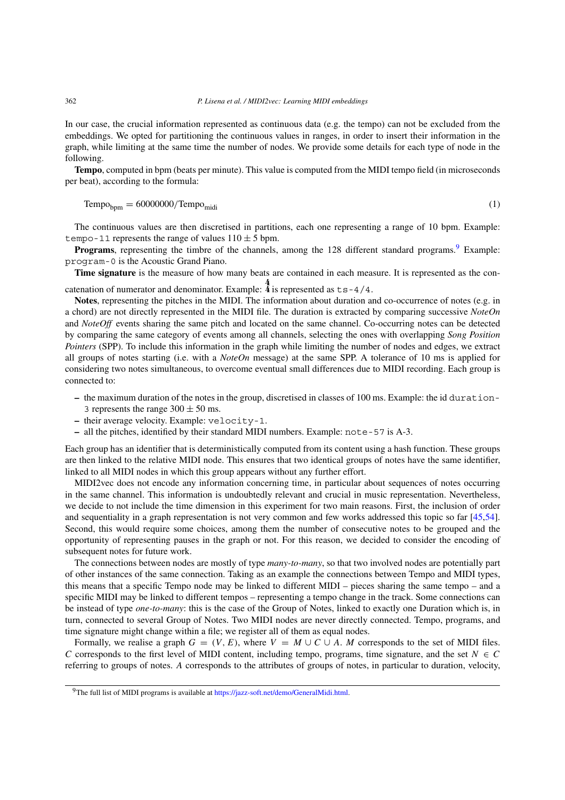In our case, the crucial information represented as continuous data (e.g. the tempo) can not be excluded from the embeddings. We opted for partitioning the continuous values in ranges, in order to insert their information in the graph, while limiting at the same time the number of nodes. We provide some details for each type of node in the following.

**Tempo**, computed in bpm (beats per minute). This value is computed from the MIDI tempo field (in microseconds per beat), according to the formula:

 $Tempo_{\text{bmm}} = 60000000/Tempo_{\text{midi}}$  (1)

The continuous values are then discretised in partitions, each one representing a range of 10 bpm. Example: tempo-11 represents the range of values  $110 \pm 5$  bpm.

Programs, representing the timbre of the channels, among the 128 different standard programs.<sup>9</sup> Example: program-0 is the Acoustic Grand Piano.

**Time signature** is the measure of how many beats are contained in each measure. It is represented as the concatenation of numerator and denominator. Example:  $\frac{4}{4}$  is represented as ts-4/4.

**Notes**, representing the pitches in the MIDI. The information about duration and co-occurrence of notes (e.g. in a chord) are not directly represented in the MIDI file. The duration is extracted by comparing successive *NoteOn* and *NoteOff* events sharing the same pitch and located on the same channel. Co-occurring notes can be detected by comparing the same category of events among all channels, selecting the ones with overlapping *Song Position Pointers* (SPP). To include this information in the graph while limiting the number of nodes and edges, we extract all groups of notes starting (i.e. with a *NoteOn* message) at the same SPP. A tolerance of 10 ms is applied for considering two notes simultaneous, to overcome eventual small differences due to MIDI recording. Each group is connected to:

- **–** the maximum duration of the notes in the group, discretised in classes of 100 ms. Example: the id duration-
- 3 represents the range  $300 \pm 50$  ms.
- **–** their average velocity. Example: velocity-1.
- **–** all the pitches, identified by their standard MIDI numbers. Example: note-57 is A-3.

Each group has an identifier that is deterministically computed from its content using a hash function. These groups are then linked to the relative MIDI node. This ensures that two identical groups of notes have the same identifier, linked to all MIDI nodes in which this group appears without any further effort.

MIDI2vec does not encode any information concerning time, in particular about sequences of notes occurring in the same channel. This information is undoubtedly relevant and crucial in music representation. Nevertheless, we decide to not include the time dimension in this experiment for two main reasons. First, the inclusion of order and sequentiality in a graph representation is not very common and few works addressed this topic so far [\[45](#page-19-20),[54\]](#page-19-21). Second, this would require some choices, among them the number of consecutive notes to be grouped and the opportunity of representing pauses in the graph or not. For this reason, we decided to consider the encoding of subsequent notes for future work.

The connections between nodes are mostly of type *many-to-many*, so that two involved nodes are potentially part of other instances of the same connection. Taking as an example the connections between Tempo and MIDI types, this means that a specific Tempo node may be linked to different MIDI – pieces sharing the same tempo – and a specific MIDI may be linked to different tempos – representing a tempo change in the track. Some connections can be instead of type *one-to-many*: this is the case of the Group of Notes, linked to exactly one Duration which is, in turn, connected to several Group of Notes. Two MIDI nodes are never directly connected. Tempo, programs, and time signature might change within a file; we register all of them as equal nodes.

Formally, we realise a graph  $G = (V, E)$ , where  $V = M \cup C \cup A$ . *M* corresponds to the set of MIDI files. *C* corresponds to the first level of MIDI content, including tempo, programs, time signature, and the set  $N \in C$ referring to groups of notes. *A* corresponds to the attributes of groups of notes, in particular to duration, velocity,

<span id="page-5-0"></span><sup>&</sup>lt;sup>9</sup>The full list of MIDI programs is available at [https://jazz-soft.net/demo/GeneralMidi.html.](https://jazz-soft.net/demo/GeneralMidi.html)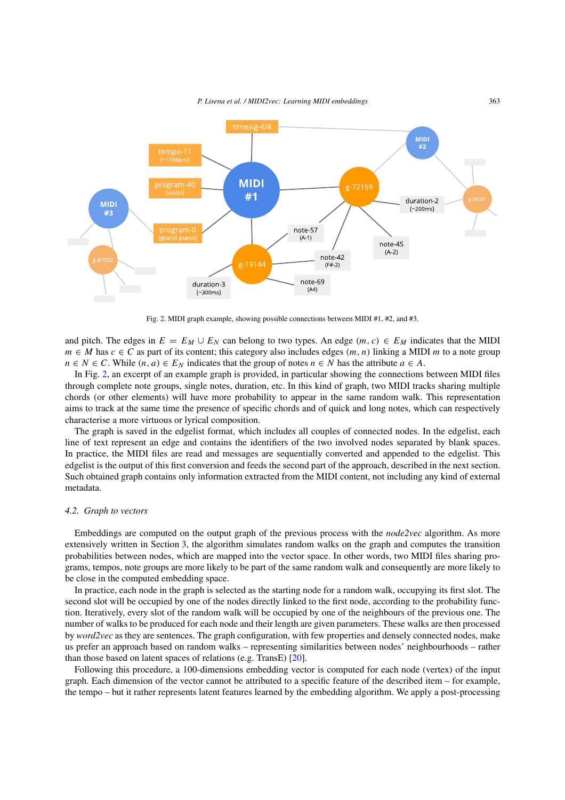

<span id="page-6-0"></span>Fig. 2. MIDI graph example, showing possible connections between MIDI #1, #2, and #3.

and pitch. The edges in  $E = E_M \cup E_N$  can belong to two types. An edge  $(m, c) \in E_M$  indicates that the MIDI  $m \in M$  has  $c \in C$  as part of its content; this category also includes edges  $(m, n)$  linking a MIDI *m* to a note group *n* ∈ *N* ∈ *C*. While  $(n, a)$  ∈  $E_N$  indicates that the group of notes  $n \in N$  has the attribute  $a \in A$ .

In Fig. [2,](#page-6-0) an excerpt of an example graph is provided, in particular showing the connections between MIDI files through complete note groups, single notes, duration, etc. In this kind of graph, two MIDI tracks sharing multiple chords (or other elements) will have more probability to appear in the same random walk. This representation aims to track at the same time the presence of specific chords and of quick and long notes, which can respectively characterise a more virtuous or lyrical composition.

The graph is saved in the edgelist format, which includes all couples of connected nodes. In the edgelist, each line of text represent an edge and contains the identifiers of the two involved nodes separated by blank spaces. In practice, the MIDI files are read and messages are sequentially converted and appended to the edgelist. This edgelist is the output of this first conversion and feeds the second part of the approach, described in the next section. Such obtained graph contains only information extracted from the MIDI content, not including any kind of external metadata.

#### *4.2. Graph to vectors*

Embeddings are computed on the output graph of the previous process with the *node2vec* algorithm. As more extensively written in Section [3](#page-3-0), the algorithm simulates random walks on the graph and computes the transition probabilities between nodes, which are mapped into the vector space. In other words, two MIDI files sharing programs, tempos, note groups are more likely to be part of the same random walk and consequently are more likely to be close in the computed embedding space.

In practice, each node in the graph is selected as the starting node for a random walk, occupying its first slot. The second slot will be occupied by one of the nodes directly linked to the first node, according to the probability function. Iteratively, every slot of the random walk will be occupied by one of the neighbours of the previous one. The number of walks to be produced for each node and their length are given parameters. These walks are then processed by *word2vec* as they are sentences. The graph configuration, with few properties and densely connected nodes, make us prefer an approach based on random walks – representing similarities between nodes' neighbourhoods – rather than those based on latent spaces of relations (e.g. TransE) [[20\]](#page-18-23).

Following this procedure, a 100-dimensions embedding vector is computed for each node (vertex) of the input graph. Each dimension of the vector cannot be attributed to a specific feature of the described item – for example, the tempo – but it rather represents latent features learned by the embedding algorithm. We apply a post-processing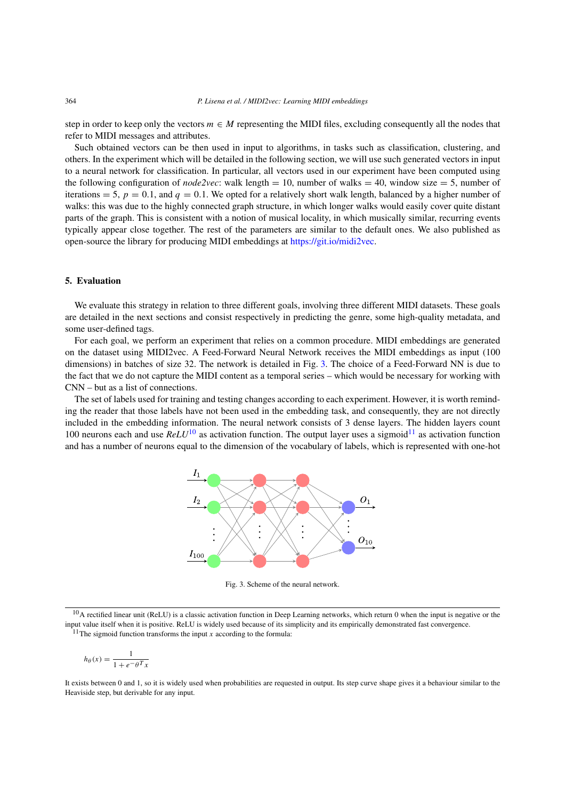step in order to keep only the vectors  $m \in M$  representing the MIDI files, excluding consequently all the nodes that refer to MIDI messages and attributes.

Such obtained vectors can be then used in input to algorithms, in tasks such as classification, clustering, and others. In the experiment which will be detailed in the following section, we will use such generated vectors in input to a neural network for classification. In particular, all vectors used in our experiment have been computed using the following configuration of *node2vec*: walk length = 10, number of walks = 40, window size = 5, number of iterations  $= 5$ ,  $p = 0.1$ , and  $q = 0.1$ . We opted for a relatively short walk length, balanced by a higher number of walks: this was due to the highly connected graph structure, in which longer walks would easily cover quite distant parts of the graph. This is consistent with a notion of musical locality, in which musically similar, recurring events typically appear close together. The rest of the parameters are similar to the default ones. We also published as open-source the library for producing MIDI embeddings at <https://git.io/midi2vec>.

# <span id="page-7-0"></span>**5. Evaluation**

We evaluate this strategy in relation to three different goals, involving three different MIDI datasets. These goals are detailed in the next sections and consist respectively in predicting the genre, some high-quality metadata, and some user-defined tags.

For each goal, we perform an experiment that relies on a common procedure. MIDI embeddings are generated on the dataset using MIDI2vec. A Feed-Forward Neural Network receives the MIDI embeddings as input (100 dimensions) in batches of size 32. The network is detailed in Fig. [3.](#page-7-1) The choice of a Feed-Forward NN is due to the fact that we do not capture the MIDI content as a temporal series – which would be necessary for working with CNN – but as a list of connections.

The set of labels used for training and testing changes according to each experiment. However, it is worth reminding the reader that those labels have not been used in the embedding task, and consequently, they are not directly included in the embedding information. The neural network consists of 3 dense layers. The hidden layers count [10](#page-7-2)0 neurons each and use  $ReLU^{10}$  as activation function. The output layer uses a sigmoid<sup>[11](#page-7-3)</sup> as activation function and has a number of neurons equal to the dimension of the vocabulary of labels, which is represented with one-hot



<span id="page-7-1"></span>Fig. 3. Scheme of the neural network.

<span id="page-7-2"></span><sup>10</sup>A rectified linear unit (ReLU) is a classic activation function in Deep Learning networks, which return 0 when the input is negative or the input value itself when it is positive. ReLU is widely used because of its simplicity and its empirically demonstrated fast convergence.

<span id="page-7-3"></span> $11$ The sigmoid function transforms the input *x* according to the formula:

$$
h_{\theta}(x) = \frac{1}{1 + e^{-\theta} x}
$$

It exists between 0 and 1, so it is widely used when probabilities are requested in output. Its step curve shape gives it a behaviour similar to the Heaviside step, but derivable for any input.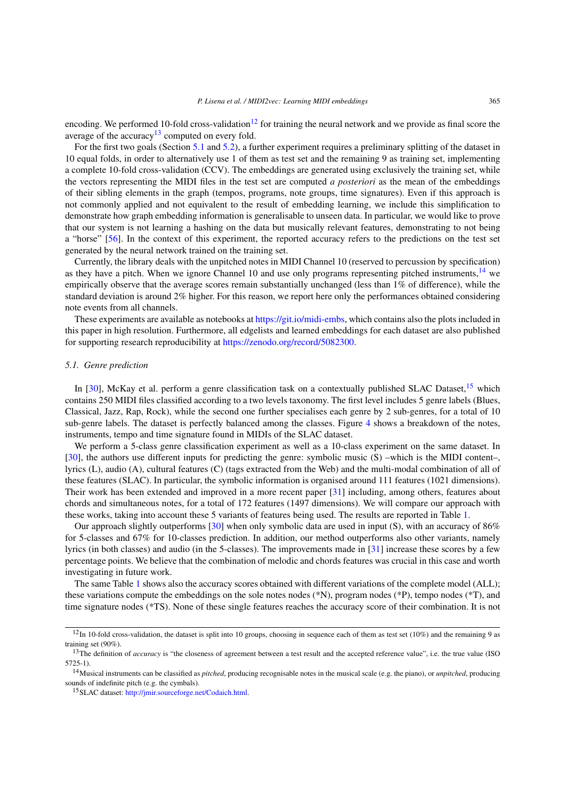encoding. We performed 10-fold cross-validation<sup>[12](#page-8-0)</sup> for training the neural network and we provide as final score the average of the accuracy<sup>[13](#page-8-1)</sup> computed on every fold.

For the first two goals (Section [5.1](#page-8-2) and [5.2](#page-11-0)), a further experiment requires a preliminary splitting of the dataset in 10 equal folds, in order to alternatively use 1 of them as test set and the remaining 9 as training set, implementing a complete 10-fold cross-validation (CCV). The embeddings are generated using exclusively the training set, while the vectors representing the MIDI files in the test set are computed *a posteriori* as the mean of the embeddings of their sibling elements in the graph (tempos, programs, note groups, time signatures). Even if this approach is not commonly applied and not equivalent to the result of embedding learning, we include this simplification to demonstrate how graph embedding information is generalisable to unseen data. In particular, we would like to prove that our system is not learning a hashing on the data but musically relevant features, demonstrating to not being a "horse" [\[56](#page-19-22)]. In the context of this experiment, the reported accuracy refers to the predictions on the test set generated by the neural network trained on the training set.

Currently, the library deals with the unpitched notes in MIDI Channel 10 (reserved to percussion by specification) as they have a pitch. When we ignore Channel 10 and use only programs representing pitched instruments, $14$  we empirically observe that the average scores remain substantially unchanged (less than 1% of difference), while the standard deviation is around 2% higher. For this reason, we report here only the performances obtained considering note events from all channels.

These experiments are available as notebooks at [https://git.io/midi-embs,](https://git.io/midi-embs) which contains also the plots included in this paper in high resolution. Furthermore, all edgelists and learned embeddings for each dataset are also published for supporting research reproducibility at [https://zenodo.org/record/5082300.](https://zenodo.org/record/5082300)

# <span id="page-8-2"></span>*5.1. Genre prediction*

In [\[30\]](#page-18-12), McKay et al. perform a genre classification task on a contextually published SLAC Dataset,  $15$  which contains 250 MIDI files classified according to a two levels taxonomy. The first level includes 5 genre labels (Blues, Classical, Jazz, Rap, Rock), while the second one further specialises each genre by 2 sub-genres, for a total of 10 sub-genre labels. The dataset is perfectly balanced among the classes. Figure [4](#page-9-0) shows a breakdown of the notes, instruments, tempo and time signature found in MIDIs of the SLAC dataset.

We perform a 5-class genre classification experiment as well as a 10-class experiment on the same dataset. In [[30\]](#page-18-12), the authors use different inputs for predicting the genre: symbolic music (S) –which is the MIDI content–, lyrics (L), audio (A), cultural features (C) (tags extracted from the Web) and the multi-modal combination of all of these features (SLAC). In particular, the symbolic information is organised around 111 features (1021 dimensions). Their work has been extended and improved in a more recent paper [\[31](#page-18-24)] including, among others, features about chords and simultaneous notes, for a total of 172 features (1497 dimensions). We will compare our approach with these works, taking into account these 5 variants of features being used. The results are reported in Table [1.](#page-9-1)

Our approach slightly outperforms [[30\]](#page-18-12) when only symbolic data are used in input (S), with an accuracy of 86% for 5-classes and 67% for 10-classes prediction. In addition, our method outperforms also other variants, namely lyrics (in both classes) and audio (in the 5-classes). The improvements made in [[31\]](#page-18-24) increase these scores by a few percentage points. We believe that the combination of melodic and chords features was crucial in this case and worth investigating in future work.

The same Table [1](#page-9-1) shows also the accuracy scores obtained with different variations of the complete model (ALL); these variations compute the embeddings on the sole notes nodes (\*N), program nodes (\*P), tempo nodes (\*T), and time signature nodes (\*TS). None of these single features reaches the accuracy score of their combination. It is not

<span id="page-8-0"></span> $12$ In 10-fold cross-validation, the dataset is split into 10 groups, choosing in sequence each of them as test set (10%) and the remaining 9 as training set (90%).

<span id="page-8-1"></span><sup>&</sup>lt;sup>13</sup>The definition of *accuracy* is "the closeness of agreement between a test result and the accepted reference value", i.e. the true value (ISO 5725-1).

<span id="page-8-3"></span><sup>14</sup>Musical instruments can be classified as *pitched*, producing recognisable notes in the musical scale (e.g. the piano), or *unpitched*, producing sounds of indefinite pitch (e.g. the cymbals).

<span id="page-8-4"></span><sup>15</sup>SLAC dataset: [http://jmir.sourceforge.net/Codaich.html.](http://jmir.sourceforge.net/Codaich.html)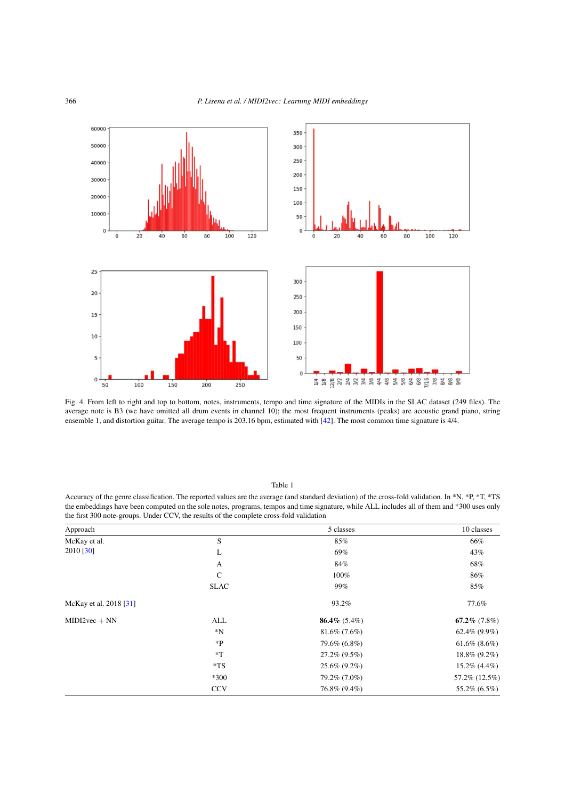

<span id="page-9-0"></span>Fig. 4. From left to right and top to bottom, notes, instruments, tempo and time signature of the MIDIs in the SLAC dataset (249 files). The average note is B3 (we have omitted all drum events in channel 10); the most frequent instruments (peaks) are acoustic grand piano, string ensemble 1, and distortion guitar. The average tempo is 203.16 bpm, estimated with [\[42](#page-19-23)]. The most common time signature is 4/4.

## Table 1

<span id="page-9-1"></span>Accuracy of the genre classification. The reported values are the average (and standard deviation) of the cross-fold validation. In \*N, \*P, \*T, \*TS the embeddings have been computed on the sole notes, programs, tempos and time signature, while ALL includes all of them and \*300 uses only the first 300 note-groups. Under CCV, the results of the complete cross-fold validation

| Approach               |             | 5 classes       | 10 classes         |
|------------------------|-------------|-----------------|--------------------|
| McKay et al.           | S           | 85%             | 66%                |
| 2010 [30]              | L           | 69%             | 43%                |
|                        | A           | 84%             | 68%                |
|                        | $\mathbf C$ | 100%            | 86%                |
|                        | <b>SLAC</b> | 99%             | 85%                |
| McKay et al. 2018 [31] |             | 93.2%           | 77.6%              |
| $MIDI2vec + NN$        | ALL         | 86.4% $(5.4\%)$ | 67.2% $(7.8\%)$    |
|                        | $^*N$       | $81.6\%$ (7.6%) | 62.4% $(9.9\%)$    |
|                        | $*P$        | 79.6% (6.8%)    | $61.6\%$ $(8.6\%)$ |
|                        | $*T$        | $27.2\%$ (9.5%) | 18.8% (9.2%)       |
|                        | $*TS$       | $25.6\%$ (9.2%) | $15.2\%$ (4.4%)    |
|                        | $*300$      | 79.2% (7.0%)    | 57.2% (12.5%)      |
|                        | <b>CCV</b>  | 76.8% (9.4%)    | 55.2% (6.5%)       |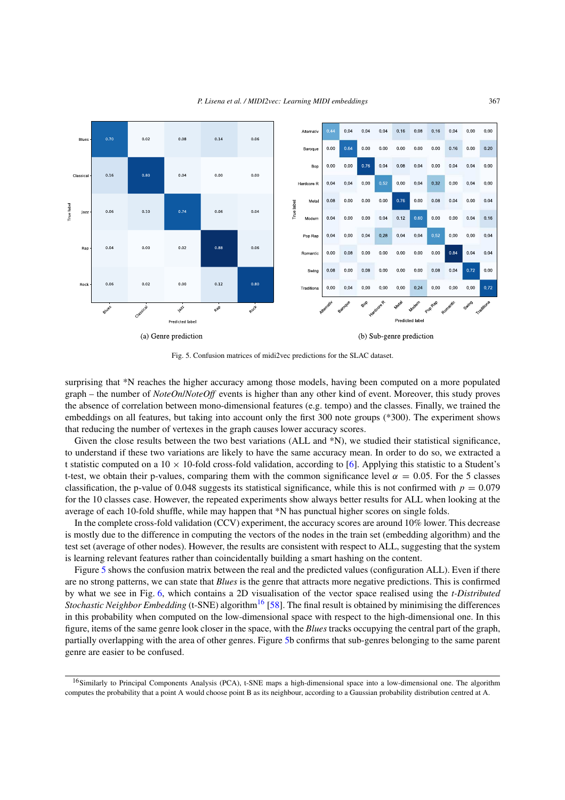

<span id="page-10-0"></span>Fig. 5. Confusion matrices of midi2vec predictions for the SLAC dataset.

surprising that \*N reaches the higher accuracy among those models, having been computed on a more populated graph – the number of *NoteOn*/*NoteOff* events is higher than any other kind of event. Moreover, this study proves the absence of correlation between mono-dimensional features (e.g. tempo) and the classes. Finally, we trained the embeddings on all features, but taking into account only the first 300 note groups (\*300). The experiment shows that reducing the number of vertexes in the graph causes lower accuracy scores.

Given the close results between the two best variations (ALL and \*N), we studied their statistical significance, to understand if these two variations are likely to have the same accuracy mean. In order to do so, we extracted a t statistic computed on a  $10 \times 10$ -fold cross-fold validation, according to [[6\]](#page-18-25). Applying this statistic to a Student's t-test, we obtain their p-values, comparing them with the common significance level  $\alpha = 0.05$ . For the 5 classes classification, the p-value of 0.048 suggests its statistical significance, while this is not confirmed with  $p = 0.079$ for the 10 classes case. However, the repeated experiments show always better results for ALL when looking at the average of each 10-fold shuffle, while may happen that \*N has punctual higher scores on single folds.

In the complete cross-fold validation (CCV) experiment, the accuracy scores are around 10% lower. This decrease is mostly due to the difference in computing the vectors of the nodes in the train set (embedding algorithm) and the test set (average of other nodes). However, the results are consistent with respect to ALL, suggesting that the system is learning relevant features rather than coincidentally building a smart hashing on the content.

Figure [5](#page-10-0) shows the confusion matrix between the real and the predicted values (configuration ALL). Even if there are no strong patterns, we can state that *Blues* is the genre that attracts more negative predictions. This is confirmed by what we see in Fig. [6,](#page-11-1) which contains a 2D visualisation of the vector space realised using the *t-Distributed Stochastic Neighbor Embedding* (t-SNE) algorithm<sup>[16](#page-10-1)</sup> [\[58](#page-19-24)]. The final result is obtained by minimising the differences in this probability when computed on the low-dimensional space with respect to the high-dimensional one. In this figure, items of the same genre look closer in the space, with the *Blues* tracks occupying the central part of the graph, partially overlapping with the area of other genres. Figure [5b](#page-10-0) confirms that sub-genres belonging to the same parent genre are easier to be confused.

<span id="page-10-1"></span><sup>16</sup>Similarly to Principal Components Analysis (PCA), t-SNE maps a high-dimensional space into a low-dimensional one. The algorithm computes the probability that a point A would choose point B as its neighbour, according to a Gaussian probability distribution centred at A.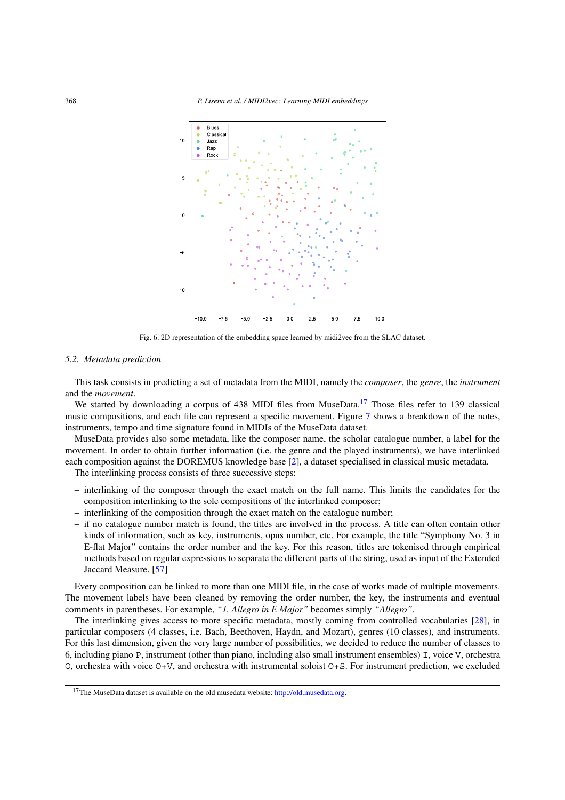

<span id="page-11-1"></span>Fig. 6. 2D representation of the embedding space learned by midi2vec from the SLAC dataset.

#### <span id="page-11-0"></span>*5.2. Metadata prediction*

This task consists in predicting a set of metadata from the MIDI, namely the *composer*, the *genre*, the *instrument* and the *movement*.

We started by downloading a corpus of 438 MIDI files from MuseData.<sup>17</sup> Those files refer to 139 classical music compositions, and each file can represent a specific movement. Figure [7](#page-12-0) shows a breakdown of the notes, instruments, tempo and time signature found in MIDIs of the MuseData dataset.

MuseData provides also some metadata, like the composer name, the scholar catalogue number, a label for the movement. In order to obtain further information (i.e. the genre and the played instruments), we have interlinked each composition against the DOREMUS knowledge base [[2\]](#page-17-1), a dataset specialised in classical music metadata.

The interlinking process consists of three successive steps:

- **–** interlinking of the composer through the exact match on the full name. This limits the candidates for the composition interlinking to the sole compositions of the interlinked composer;
- **–** interlinking of the composition through the exact match on the catalogue number;
- **–** if no catalogue number match is found, the titles are involved in the process. A title can often contain other kinds of information, such as key, instruments, opus number, etc. For example, the title "Symphony No. 3 in E-flat Major" contains the order number and the key. For this reason, titles are tokenised through empirical methods based on regular expressions to separate the different parts of the string, used as input of the Extended Jaccard Measure. [\[57](#page-19-25)]

Every composition can be linked to more than one MIDI file, in the case of works made of multiple movements. The movement labels have been cleaned by removing the order number, the key, the instruments and eventual comments in parentheses. For example, *"1. Allegro in E Major"* becomes simply *"Allegro"*.

The interlinking gives access to more specific metadata, mostly coming from controlled vocabularies [[28\]](#page-18-19), in particular composers (4 classes, i.e. Bach, Beethoven, Haydn, and Mozart), genres (10 classes), and instruments. For this last dimension, given the very large number of possibilities, we decided to reduce the number of classes to 6, including piano P, instrument (other than piano, including also small instrument ensembles) I, voice V, orchestra O, orchestra with voice O+V, and orchestra with instrumental soloist O+S. For instrument prediction, we excluded

<span id="page-11-2"></span><sup>&</sup>lt;sup>17</sup>The MuseData dataset is available on the old musedata website: [http://old.musedata.org.](http://old.musedata.org)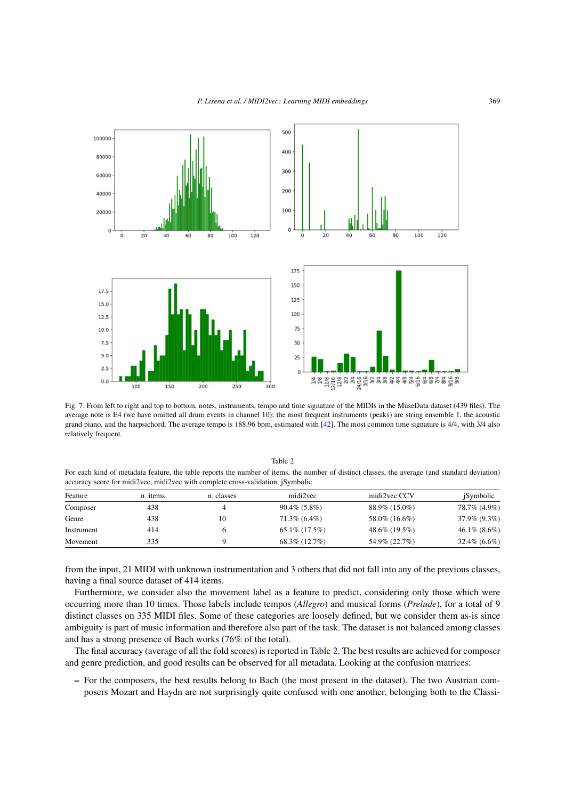

<span id="page-12-0"></span>Fig. 7. From left to right and top to bottom, notes, instruments, tempo and time signature of the MIDIs in the MuseData dataset (439 files). The average note is E4 (we have omitted all drum events in channel 10); the most frequent instruments (peaks) are string ensemble 1, the acoustic grand piano, and the harpsichord. The average tempo is 188.96 bpm, estimated with [\[42](#page-19-23)]. The most common time signature is 4/4, with 3/4 also relatively frequent.

<span id="page-12-1"></span>

| For each kind of metadata feature, the table reports the number of hems, the number of distinct classes, the average (and standard deviation)<br>accuracy score for midi2vec, midi2vec with complete cross-validation, iSymbolic |          |            |                  |               |                 |
|----------------------------------------------------------------------------------------------------------------------------------------------------------------------------------------------------------------------------------|----------|------------|------------------|---------------|-----------------|
| Feature                                                                                                                                                                                                                          | n. items | n. classes | midi2yec         | midi2yec CCV  | iSymbolic       |
| Composer                                                                                                                                                                                                                         | 438      |            | $90.4\%$ (5.8%)  | 88.9% (15.0%) | 78.7% (4.9%)    |
| Genre                                                                                                                                                                                                                            | 438      | 10         | $71.3\%$ (6.4%)  | 58.0% (16.6%) | 37.9% (9.3%)    |
| Instrument                                                                                                                                                                                                                       | 414      |            | $65.1\%$ (17.5%) | 48.6% (19.5%) | $46.1\%$ (8.6%) |

Table 2 For each kind of metadata feature, the table reports the number of items, the number of distinct classes, the average (and standard deviation)

from the input, 21 MIDI with unknown instrumentation and 3 others that did not fall into any of the previous classes, having a final source dataset of 414 items.

Movement  $335$  9 68.3% (12.7%) 54.9% (22.7%) 32.4% (6.6%)

Furthermore, we consider also the movement label as a feature to predict, considering only those which were occurring more than 10 times. Those labels include tempos (*Allegro*) and musical forms (*Prelude*), for a total of 9 distinct classes on 335 MIDI files. Some of these categories are loosely defined, but we consider them as-is since ambiguity is part of music information and therefore also part of the task. The dataset is not balanced among classes and has a strong presence of Bach works (76% of the total).

The final accuracy (average of all the fold scores) is reported in Table [2.](#page-12-1) The best results are achieved for composer and genre prediction, and good results can be observed for all metadata. Looking at the confusion matrices:

**–** For the composers, the best results belong to Bach (the most present in the dataset). The two Austrian composers Mozart and Haydn are not surprisingly quite confused with one another, belonging both to the Classi-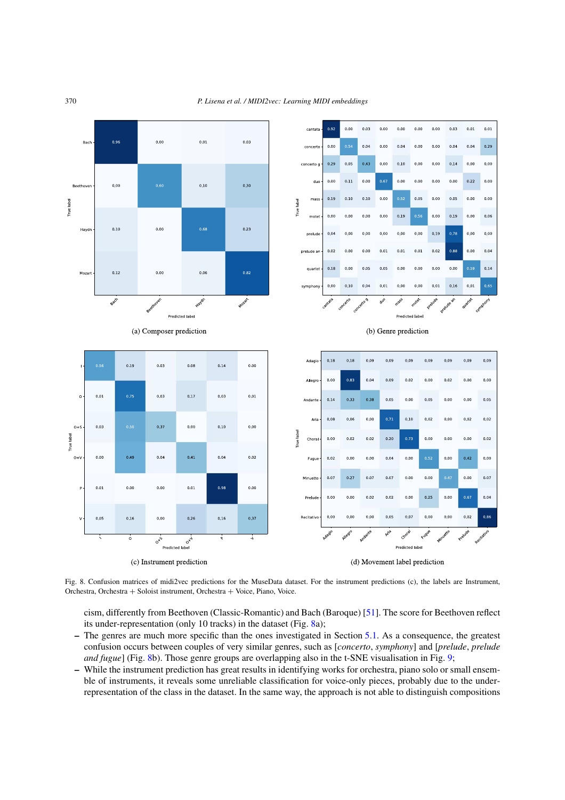

Fig. 8. Confusion matrices of midi2vec predictions for the MuseData dataset. For the instrument predictions (c), the labels are Instrument, Orchestra, Orchestra + Soloist instrument, Orchestra + Voice, Piano, Voice.

<span id="page-13-0"></span>cism, differently from Beethoven (Classic-Romantic) and Bach (Baroque) [\[51](#page-19-26)]. The score for Beethoven reflect its under-representation (only 10 tracks) in the dataset (Fig. [8](#page-13-0)a);

- **–** The genres are much more specific than the ones investigated in Section [5.1.](#page-8-2) As a consequence, the greatest confusion occurs between couples of very similar genres, such as [*concerto*, *symphony*] and [*prelude*, *prelude and fugue*] (Fig. [8](#page-13-0)b). Those genre groups are overlapping also in the t-SNE visualisation in Fig. [9](#page-14-0);
- **–** While the instrument prediction has great results in identifying works for orchestra, piano solo or small ensemble of instruments, it reveals some unreliable classification for voice-only pieces, probably due to the underrepresentation of the class in the dataset. In the same way, the approach is not able to distinguish compositions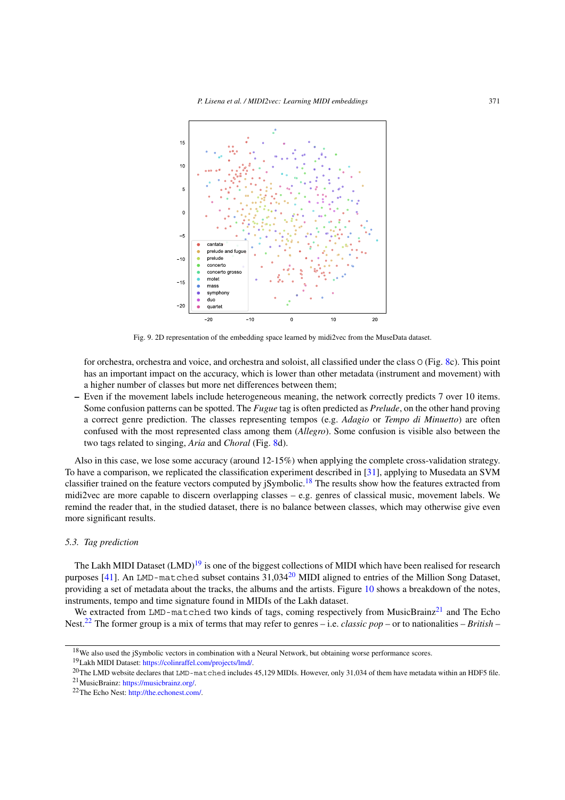

<span id="page-14-0"></span>Fig. 9. 2D representation of the embedding space learned by midi2vec from the MuseData dataset.

for orchestra, orchestra and voice, and orchestra and soloist, all classified under the class O (Fig. [8](#page-13-0)c). This point has an important impact on the accuracy, which is lower than other metadata (instrument and movement) with a higher number of classes but more net differences between them;

**–** Even if the movement labels include heterogeneous meaning, the network correctly predicts 7 over 10 items. Some confusion patterns can be spotted. The *Fugue* tag is often predicted as *Prelude*, on the other hand proving a correct genre prediction. The classes representing tempos (e.g. *Adagio* or *Tempo di Minuetto*) are often confused with the most represented class among them (*Allegro*). Some confusion is visible also between the two tags related to singing, *Aria* and *Choral* (Fig. [8d](#page-13-0)).

Also in this case, we lose some accuracy (around 12-15%) when applying the complete cross-validation strategy. To have a comparison, we replicated the classification experiment described in [\[31](#page-18-24)], applying to Musedata an SVM classifier trained on the feature vectors computed by *jSymbolic*.<sup>18</sup> The results show how the features extracted from midi2vec are more capable to discern overlapping classes – e.g. genres of classical music, movement labels. We remind the reader that, in the studied dataset, there is no balance between classes, which may otherwise give even more significant results.

### *5.3. Tag prediction*

The Lakh MIDI Dataset  $(LMD)^{19}$  $(LMD)^{19}$  $(LMD)^{19}$  is one of the biggest collections of MIDI which have been realised for research purposes [\[41](#page-19-5)]. An LMD-matched subset contains 31,034<sup>20</sup> MIDI aligned to entries of the Million Song Dataset, providing a set of metadata about the tracks, the albums and the artists. Figure [10](#page-15-0) shows a breakdown of the notes, instruments, tempo and time signature found in MIDIs of the Lakh dataset.

We extracted from LMD-matched two kinds of tags, coming respectively from MusicBrainz<sup>21</sup> and The Echo Nest[.22](#page-14-5) The former group is a mix of terms that may refer to genres – i.e. *classic pop* – or to nationalities – *British* –

<span id="page-14-1"></span><sup>&</sup>lt;sup>18</sup>We also used the jSymbolic vectors in combination with a Neural Network, but obtaining worse performance scores.

<span id="page-14-2"></span><sup>19</sup>Lakh MIDI Dataset: <https://colinraffel.com/projects/lmd/>.

<span id="page-14-3"></span><sup>&</sup>lt;sup>20</sup>The LMD website declares that LMD-matched includes 45,129 MIDIs. However, only 31,034 of them have metadata within an HDF5 file.

<span id="page-14-4"></span><sup>21</sup>MusicBrainz: [https://musicbrainz.org/.](https://musicbrainz.org/)

<span id="page-14-5"></span><sup>22</sup>The Echo Nest: [http://the.echonest.com/.](http://the.echonest.com/)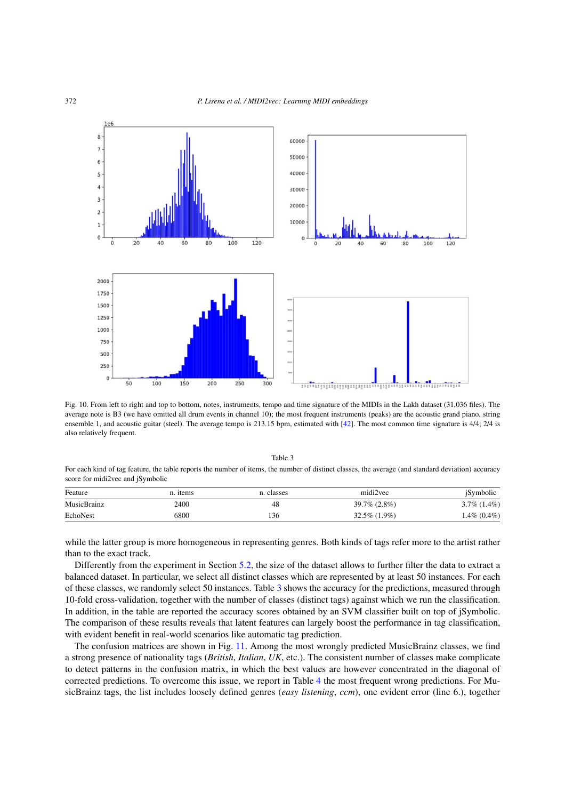

<span id="page-15-0"></span>Fig. 10. From left to right and top to bottom, notes, instruments, tempo and time signature of the MIDIs in the Lakh dataset (31,036 files). The average note is B3 (we have omitted all drum events in channel 10); the most frequent instruments (peaks) are the acoustic grand piano, string ensemble 1, and acoustic guitar (steel). The average tempo is 213.15 bpm, estimated with [[42\]](#page-19-23). The most common time signature is 4/4; 2/4 is also relatively frequent.

Table 3 For each kind of tag feature, the table reports the number of items, the number of distinct classes, the average (and standard deviation) accuracy score for midi2vec and jSymbolic

<span id="page-15-1"></span>

| Feature     | n. <i>items</i> | n. classes | midi2vec           | <i>i</i> Symbolic |
|-------------|-----------------|------------|--------------------|-------------------|
| MusicBrainz | 2400            | 48         | $39.7\% (2.8\%)$   | $3.7\%$ $(1.4\%)$ |
| EchoNest    | 6800            | 136        | $32.5\%$ $(1.9\%)$ | 1.4% (0.4%)       |

while the latter group is more homogeneous in representing genres. Both kinds of tags refer more to the artist rather than to the exact track.

Differently from the experiment in Section [5.2](#page-11-0), the size of the dataset allows to further filter the data to extract a balanced dataset. In particular, we select all distinct classes which are represented by at least 50 instances. For each of these classes, we randomly select 50 instances. Table [3](#page-15-1) shows the accuracy for the predictions, measured through 10-fold cross-validation, together with the number of classes (distinct tags) against which we run the classification. In addition, in the table are reported the accuracy scores obtained by an SVM classifier built on top of jSymbolic. The comparison of these results reveals that latent features can largely boost the performance in tag classification, with evident benefit in real-world scenarios like automatic tag prediction.

The confusion matrices are shown in Fig. [11](#page-16-1). Among the most wrongly predicted MusicBrainz classes, we find a strong presence of nationality tags (*British*, *Italian*, *UK*, etc.). The consistent number of classes make complicate to detect patterns in the confusion matrix, in which the best values are however concentrated in the diagonal of corrected predictions. To overcome this issue, we report in Table [4](#page-16-2) the most frequent wrong predictions. For MusicBrainz tags, the list includes loosely defined genres (*easy listening*, *ccm*), one evident error (line 6.), together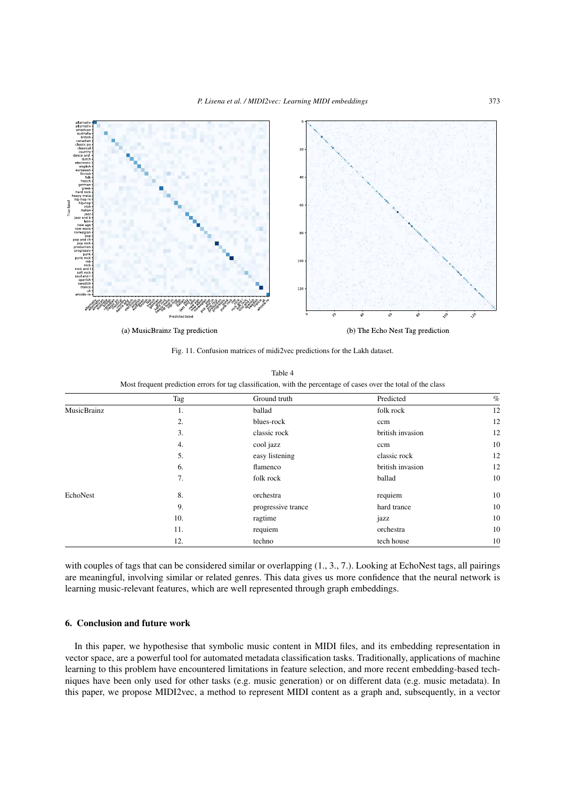

<span id="page-16-1"></span>Fig. 11. Confusion matrices of midi2vec predictions for the Lakh dataset.

<span id="page-16-2"></span>

| Table 4                                                                                                          |  |
|------------------------------------------------------------------------------------------------------------------|--|
| Most frequent prediction errors for tag classification, with the percentage of cases over the total of the class |  |

|                    | Tag | Ground truth       | Predicted        | $\%$ |
|--------------------|-----|--------------------|------------------|------|
| <b>MusicBrainz</b> | 1.  | ballad             | folk rock        | 12   |
|                    | 2.  | blues-rock         | ccm              | 12   |
|                    | 3.  | classic rock       | british invasion | 12   |
|                    | 4.  | cool jazz          | ccm              | 10   |
|                    | 5.  | easy listening     | classic rock     | 12   |
|                    | 6.  | flamenco           | british invasion | 12   |
|                    | 7.  | folk rock          | ballad           | 10   |
| EchoNest           | 8.  | orchestra          | requiem          | 10   |
|                    | 9.  | progressive trance | hard trance      | 10   |
|                    | 10. | ragtime            | jazz             | 10   |
|                    | 11. | requiem            | orchestra        | 10   |
|                    | 12. | techno             | tech house       | 10   |

with couples of tags that can be considered similar or overlapping (1., 3., 7.). Looking at EchoNest tags, all pairings are meaningful, involving similar or related genres. This data gives us more confidence that the neural network is learning music-relevant features, which are well represented through graph embeddings.

## <span id="page-16-0"></span>**6. Conclusion and future work**

In this paper, we hypothesise that symbolic music content in MIDI files, and its embedding representation in vector space, are a powerful tool for automated metadata classification tasks. Traditionally, applications of machine learning to this problem have encountered limitations in feature selection, and more recent embedding-based techniques have been only used for other tasks (e.g. music generation) or on different data (e.g. music metadata). In this paper, we propose MIDI2vec, a method to represent MIDI content as a graph and, subsequently, in a vector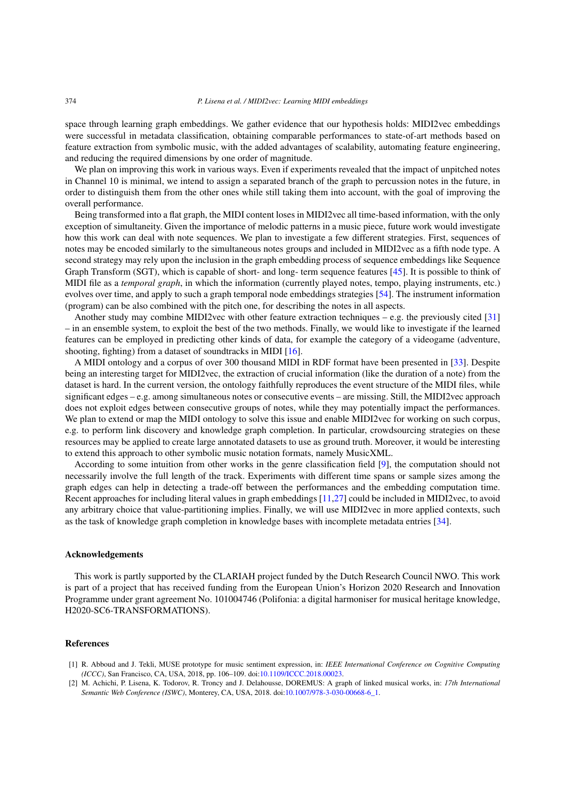space through learning graph embeddings. We gather evidence that our hypothesis holds: MIDI2vec embeddings were successful in metadata classification, obtaining comparable performances to state-of-art methods based on feature extraction from symbolic music, with the added advantages of scalability, automating feature engineering, and reducing the required dimensions by one order of magnitude.

We plan on improving this work in various ways. Even if experiments revealed that the impact of unpitched notes in Channel 10 is minimal, we intend to assign a separated branch of the graph to percussion notes in the future, in order to distinguish them from the other ones while still taking them into account, with the goal of improving the overall performance.

Being transformed into a flat graph, the MIDI content loses in MIDI2vec all time-based information, with the only exception of simultaneity. Given the importance of melodic patterns in a music piece, future work would investigate how this work can deal with note sequences. We plan to investigate a few different strategies. First, sequences of notes may be encoded similarly to the simultaneous notes groups and included in MIDI2vec as a fifth node type. A second strategy may rely upon the inclusion in the graph embedding process of sequence embeddings like Sequence Graph Transform (SGT), which is capable of short- and long- term sequence features [[45\]](#page-19-20). It is possible to think of MIDI file as a *temporal graph*, in which the information (currently played notes, tempo, playing instruments, etc.) evolves over time, and apply to such a graph temporal node embeddings strategies [[54\]](#page-19-21). The instrument information (program) can be also combined with the pitch one, for describing the notes in all aspects.

Another study may combine MIDI2vec with other feature extraction techniques – e.g. the previously cited  $[31]$  $[31]$ – in an ensemble system, to exploit the best of the two methods. Finally, we would like to investigate if the learned features can be employed in predicting other kinds of data, for example the category of a videogame (adventure, shooting, fighting) from a dataset of soundtracks in MIDI [\[16](#page-18-26)].

A MIDI ontology and a corpus of over 300 thousand MIDI in RDF format have been presented in [[33\]](#page-19-27). Despite being an interesting target for MIDI2vec, the extraction of crucial information (like the duration of a note) from the dataset is hard. In the current version, the ontology faithfully reproduces the event structure of the MIDI files, while significant edges – e.g. among simultaneous notes or consecutive events – are missing. Still, the MIDI2vec approach does not exploit edges between consecutive groups of notes, while they may potentially impact the performances. We plan to extend or map the MIDI ontology to solve this issue and enable MIDI2vec for working on such corpus, e.g. to perform link discovery and knowledge graph completion. In particular, crowdsourcing strategies on these resources may be applied to create large annotated datasets to use as ground truth. Moreover, it would be interesting to extend this approach to other symbolic music notation formats, namely MusicXML.

According to some intuition from other works in the genre classification field [\[9\]](#page-18-4), the computation should not necessarily involve the full length of the track. Experiments with different time spans or sample sizes among the graph edges can help in detecting a trade-off between the performances and the embedding computation time. Recent approaches for including literal values in graph embeddings [\[11](#page-18-27),[27\]](#page-18-28) could be included in MIDI2vec, to avoid any arbitrary choice that value-partitioning implies. Finally, we will use MIDI2vec in more applied contexts, such as the task of knowledge graph completion in knowledge bases with incomplete metadata entries [[34\]](#page-19-0).

## **Acknowledgements**

This work is partly supported by the CLARIAH project funded by the Dutch Research Council NWO. This work is part of a project that has received funding from the European Union's Horizon 2020 Research and Innovation Programme under grant agreement No. 101004746 (Polifonia: a digital harmoniser for musical heritage knowledge, H2020-SC6-TRANSFORMATIONS).

## **References**

- <span id="page-17-0"></span>[1] R. Abboud and J. Tekli, MUSE prototype for music sentiment expression, in: *IEEE International Conference on Cognitive Computing (ICCC)*, San Francisco, CA, USA, 2018, pp. 106–109. doi:[10.1109/ICCC.2018.00023](https://doi.org/10.1109/ICCC.2018.00023).
- <span id="page-17-1"></span>[2] M. Achichi, P. Lisena, K. Todorov, R. Troncy and J. Delahousse, DOREMUS: A graph of linked musical works, in: *17th International Semantic Web Conference (ISWC)*, Monterey, CA, USA, 2018. doi[:10.1007/978-3-030-00668-6\\_1.](https://doi.org/10.1007/978-3-030-00668-6_1)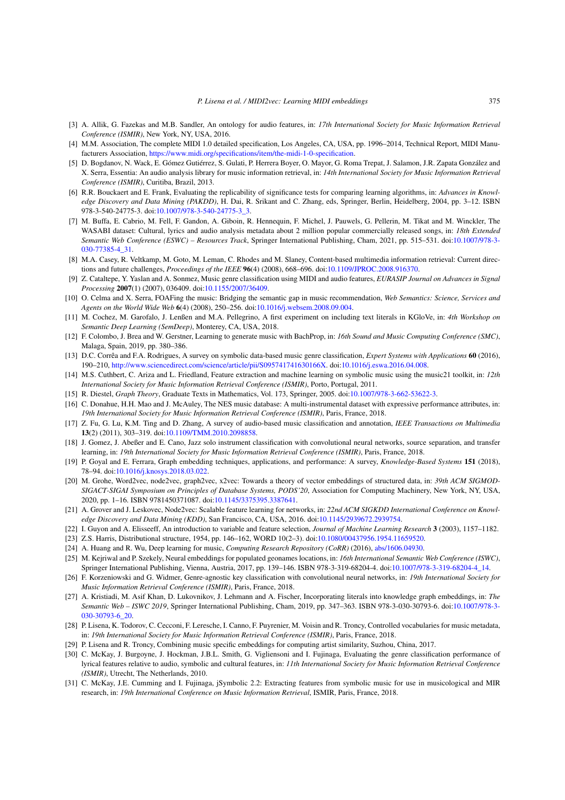- <span id="page-18-16"></span>[3] A. Allik, G. Fazekas and M.B. Sandler, An ontology for audio features, in: *17th International Society for Music Information Retrieval Conference (ISMIR)*, New York, NY, USA, 2016.
- <span id="page-18-2"></span>[4] M.M. Association, The complete MIDI 1.0 detailed specification, Los Angeles, CA, USA, pp. 1996–2014, Technical Report, MIDI Manufacturers Association, <https://www.midi.org/specifications/item/the-midi-1-0-specification>.
- <span id="page-18-1"></span>[5] D. Bogdanov, N. Wack, E. Gómez Gutiérrez, S. Gulati, P. Herrera Boyer, O. Mayor, G. Roma Trepat, J. Salamon, J.R. Zapata González and X. Serra, Essentia: An audio analysis library for music information retrieval, in: *14th International Society for Music Information Retrieval Conference (ISMIR)*, Curitiba, Brazil, 2013.
- <span id="page-18-25"></span>[6] R.R. Bouckaert and E. Frank, Evaluating the replicability of significance tests for comparing learning algorithms, in: *Advances in Knowledge Discovery and Data Mining (PAKDD)*, H. Dai, R. Srikant and C. Zhang, eds, Springer, Berlin, Heidelberg, 2004, pp. 3–12. ISBN 978-3-540-24775-3. doi[:10.1007/978-3-540-24775-3\\_3.](https://doi.org/10.1007/978-3-540-24775-3_3)
- <span id="page-18-17"></span>[7] M. Buffa, E. Cabrio, M. Fell, F. Gandon, A. Giboin, R. Hennequin, F. Michel, J. Pauwels, G. Pellerin, M. Tikat and M. Winckler, The WASABI dataset: Cultural, lyrics and audio analysis metadata about 2 million popular commercially released songs, in: *18th Extended Semantic Web Conference (ESWC) – Resources Track*, Springer International Publishing, Cham, 2021, pp. 515–531. doi[:10.1007/978-3-](https://doi.org/10.1007/978-3-030-77385-4_31) [030-77385-4\\_31.](https://doi.org/10.1007/978-3-030-77385-4_31)
- <span id="page-18-0"></span>[8] M.A. Casey, R. Veltkamp, M. Goto, M. Leman, C. Rhodes and M. Slaney, Content-based multimedia information retrieval: Current directions and future challenges, *Proceedings of the IEEE* **96**(4) (2008), 668–696. doi:[10.1109/JPROC.2008.916370](https://doi.org/10.1109/JPROC.2008.916370).
- <span id="page-18-4"></span>[9] Z. Cataltepe, Y. Yaslan and A. Sonmez, Music genre classification using MIDI and audio features, *EURASIP Journal on Advances in Signal Processing* **2007**(1) (2007), 036409. doi[:10.1155/2007/36409.](https://doi.org/10.1155/2007/36409)
- <span id="page-18-3"></span>[10] O. Celma and X. Serra, FOAFing the music: Bridging the semantic gap in music recommendation, *Web Semantics: Science, Services and Agents on the World Wide Web* **6**(4) (2008), 250–256. doi[:10.1016/j.websem.2008.09.004.](https://doi.org/10.1016/j.websem.2008.09.004)
- <span id="page-18-27"></span>[11] M. Cochez, M. Garofalo, J. Lenßen and M.A. Pellegrino, A first experiment on including text literals in KGloVe, in: *4th Workshop on Semantic Deep Learning (SemDeep)*, Monterey, CA, USA, 2018.
- <span id="page-18-15"></span>[12] F. Colombo, J. Brea and W. Gerstner, Learning to generate music with BachProp, in: *16th Sound and Music Computing Conference (SMC)*, Malaga, Spain, 2019, pp. 380–386.
- <span id="page-18-11"></span>[13] D.C. Corrêa and F.A. Rodrigues, A survey on symbolic data-based music genre classification, *Expert Systems with Applications* **60** (2016), 190–210, <http://www.sciencedirect.com/science/article/pii/S095741741630166X>. doi:[10.1016/j.eswa.2016.04.008.](https://doi.org/10.1016/j.eswa.2016.04.008)
- <span id="page-18-7"></span>[14] M.S. Cuthbert, C. Ariza and L. Friedland, Feature extraction and machine learning on symbolic music using the music21 toolkit, in: *12th International Society for Music Information Retrieval Conference (ISMIR)*, Porto, Portugal, 2011.
- <span id="page-18-20"></span>[15] R. Diestel, *Graph Theory*, Graduate Texts in Mathematics, Vol. 173, Springer, 2005. doi:[10.1007/978-3-662-53622-3](https://doi.org/10.1007/978-3-662-53622-3).
- <span id="page-18-26"></span>[16] C. Donahue, H.H. Mao and J. McAuley, The NES music database: A multi-instrumental dataset with expressive performance attributes, in: *19th International Society for Music Information Retrieval Conference (ISMIR)*, Paris, France, 2018.
- <span id="page-18-5"></span>[17] Z. Fu, G. Lu, K.M. Ting and D. Zhang, A survey of audio-based music classification and annotation, *IEEE Transactions on Multimedia* **13**(2) (2011), 303–319. doi[:10.1109/TMM.2010.2098858](https://doi.org/10.1109/TMM.2010.2098858).
- <span id="page-18-14"></span>[18] J. Gomez, J. Abeßer and E. Cano, Jazz solo instrument classification with convolutional neural networks, source separation, and transfer learning, in: *19th International Society for Music Information Retrieval Conference (ISMIR)*, Paris, France, 2018.
- <span id="page-18-21"></span>[19] P. Goyal and E. Ferrara, Graph embedding techniques, applications, and performance: A survey, *Knowledge-Based Systems* **151** (2018), 78–94. doi[:10.1016/j.knosys.2018.03.022](https://doi.org/10.1016/j.knosys.2018.03.022).
- <span id="page-18-23"></span>[20] M. Grohe, Word2vec, node2vec, graph2vec, x2vec: Towards a theory of vector embeddings of structured data, in: *39th ACM SIGMOD-SIGACT-SIGAI Symposium on Principles of Database Systems, PODS'20*, Association for Computing Machinery, New York, NY, USA, 2020, pp. 1–16. ISBN 9781450371087. doi:[10.1145/3375395.3387641.](https://doi.org/10.1145/3375395.3387641)
- <span id="page-18-8"></span>[21] A. Grover and J. Leskovec, Node2vec: Scalable feature learning for networks, in: *22nd ACM SIGKDD International Conference on Knowledge Discovery and Data Mining (KDD)*, San Francisco, CA, USA, 2016. doi[:10.1145/2939672.2939754.](https://doi.org/10.1145/2939672.2939754)
- <span id="page-18-6"></span>[22] I. Guyon and A. Elisseeff, An introduction to variable and feature selection, *Journal of Machine Learning Research* **3** (2003), 1157–1182.
- <span id="page-18-10"></span>[23] Z.S. Harris, Distributional structure, 1954, pp. 146–162, WORD 10(2–3). doi[:10.1080/00437956.1954.11659520](https://doi.org/10.1080/00437956.1954.11659520).
- <span id="page-18-9"></span>[24] A. Huang and R. Wu, Deep learning for music, *Computing Research Repository (CoRR)* (2016), [abs/1606.04930](http://arxiv.org/abs/abs/1606.04930).
- <span id="page-18-22"></span>[25] M. Kejriwal and P. Szekely, Neural embeddings for populated geonames locations, in: *16th International Semantic Web Conference (ISWC)*, Springer International Publishing, Vienna, Austria, 2017, pp. 139–146. ISBN 978-3-319-68204-4. doi:[10.1007/978-3-319-68204-4\\_14.](https://doi.org/10.1007/978-3-319-68204-4_14)
- <span id="page-18-13"></span>[26] F. Korzeniowski and G. Widmer, Genre-agnostic key classification with convolutional neural networks, in: *19th International Society for Music Information Retrieval Conference (ISMIR)*, Paris, France, 2018.
- <span id="page-18-28"></span>[27] A. Kristiadi, M. Asif Khan, D. Lukovnikov, J. Lehmann and A. Fischer, Incorporating literals into knowledge graph embeddings, in: *The Semantic Web – ISWC 2019*, Springer International Publishing, Cham, 2019, pp. 347–363. ISBN 978-3-030-30793-6. doi[:10.1007/978-3-](https://doi.org/10.1007/978-3-030-30793-6_20) [030-30793-6\\_20.](https://doi.org/10.1007/978-3-030-30793-6_20)
- <span id="page-18-19"></span>[28] P. Lisena, K. Todorov, C. Cecconi, F. Leresche, I. Canno, F. Puyrenier, M. Voisin and R. Troncy, Controlled vocabularies for music metadata, in: *19th International Society for Music Information Retrieval Conference (ISMIR)*, Paris, France, 2018.
- <span id="page-18-18"></span>[29] P. Lisena and R. Troncy, Combining music specific embeddings for computing artist similarity, Suzhou, China, 2017.
- <span id="page-18-12"></span>[30] C. McKay, J. Burgoyne, J. Hockman, J.B.L. Smith, G. Vigliensoni and I. Fujinaga, Evaluating the genre classification performance of lyrical features relative to audio, symbolic and cultural features, in: *11th International Society for Music Information Retrieval Conference (ISMIR)*, Utrecht, The Netherlands, 2010.
- <span id="page-18-24"></span>[31] C. McKay, J.E. Cumming and I. Fujinaga, jSymbolic 2.2: Extracting features from symbolic music for use in musicological and MIR research, in: *19th International Conference on Music Information Retrieval*, ISMIR, Paris, France, 2018.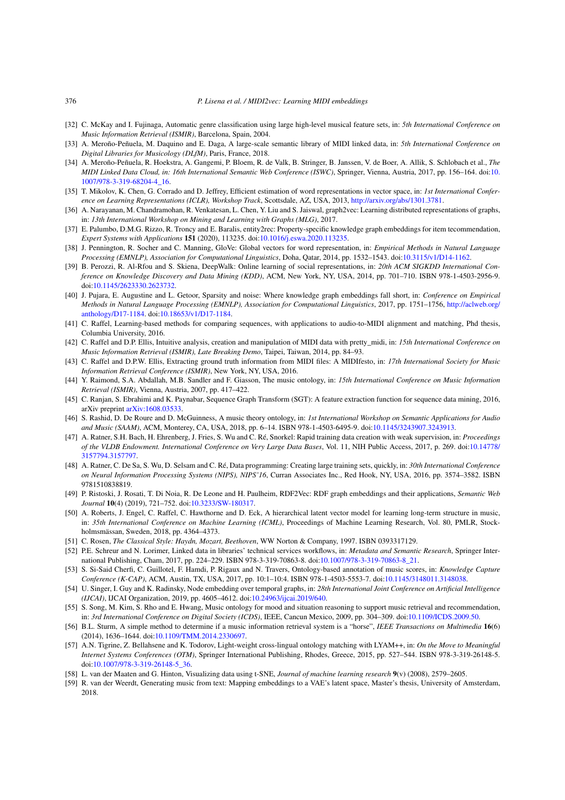#### 376 *P. Lisena et al. / MIDI2vec: Learning MIDI embeddings*

- <span id="page-19-6"></span>[32] C. McKay and I. Fujinaga, Automatic genre classification using large high-level musical feature sets, in: *5th International Conference on Music Information Retrieval (ISMIR)*, Barcelona, Spain, 2004.
- <span id="page-19-27"></span>[33] A. Meroño-Peñuela, M. Daquino and E. Daga, A large-scale semantic library of MIDI linked data, in: *5th International Conference on Digital Libraries for Musicology (DLfM)*, Paris, France, 2018.
- <span id="page-19-0"></span>[34] A. Meroño-Peñuela, R. Hoekstra, A. Gangemi, P. Bloem, R. de Valk, B. Stringer, B. Janssen, V. de Boer, A. Allik, S. Schlobach et al., *The MIDI Linked Data Cloud, in: 16th International Semantic Web Conference (ISWC)*, Springer, Vienna, Austria, 2017, pp. 156–164. doi:[10.](https://doi.org/10.1007/978-3-319-68204-4_16) [1007/978-3-319-68204-4\\_16](https://doi.org/10.1007/978-3-319-68204-4_16).
- <span id="page-19-7"></span>[35] T. Mikolov, K. Chen, G. Corrado and D. Jeffrey, Efficient estimation of word representations in vector space, in: *1st International Conference on Learning Representations (ICLR), Workshop Track*, Scottsdale, AZ, USA, 2013, [http://arxiv.org/abs/1301.3781.](http://arxiv.org/abs/1301.3781)
- <span id="page-19-18"></span>[36] A. Narayanan, M. Chandramohan, R. Venkatesan, L. Chen, Y. Liu and S. Jaiswal, graph2vec: Learning distributed representations of graphs, in: *13th International Workshop on Mining and Learning with Graphs (MLG)*, 2017.
- <span id="page-19-17"></span>[37] E. Palumbo, D.M.G. Rizzo, R. Troncy and E. Baralis, entity2rec: Property-specific knowledge graph embeddings for item tecommendation, *Expert Systems with Applications* **151** (2020), 113235. doi:[10.1016/j.eswa.2020.113235.](https://doi.org/10.1016/j.eswa.2020.113235)
- <span id="page-19-15"></span>[38] J. Pennington, R. Socher and C. Manning, GloVe: Global vectors for word representation, in: *Empirical Methods in Natural Language Processing (EMNLP), Association for Computational Linguistics*, Doha, Qatar, 2014, pp. 1532–1543. doi[:10.3115/v1/D14-1162.](https://doi.org/10.3115/v1/D14-1162)
- <span id="page-19-16"></span>[39] B. Perozzi, R. Al-Rfou and S. Skiena, DeepWalk: Online learning of social representations, in: *20th ACM SIGKDD International Conference on Knowledge Discovery and Data Mining (KDD)*, ACM, New York, NY, USA, 2014, pp. 701–710. ISBN 978-1-4503-2956-9. doi[:10.1145/2623330.2623732.](https://doi.org/10.1145/2623330.2623732)
- <span id="page-19-19"></span>[40] J. Pujara, E. Augustine and L. Getoor, Sparsity and noise: Where knowledge graph embeddings fall short, in: *Conference on Empirical Methods in Natural Language Processing (EMNLP), Association for Computational Linguistics*, 2017, pp. 1751–1756, [http://aclweb.org/](http://aclweb.org/anthology/D17-1184) [anthology/D17-1184](http://aclweb.org/anthology/D17-1184). doi[:10.18653/v1/D17-1184](https://doi.org/10.18653/v1/D17-1184).
- <span id="page-19-5"></span>[41] C. Raffel, Learning-based methods for comparing sequences, with applications to audio-to-MIDI alignment and matching, Phd thesis, Columbia University, 2016.
- <span id="page-19-23"></span>[42] C. Raffel and D.P. Ellis, Intuitive analysis, creation and manipulation of MIDI data with pretty\_midi, in: *15th International Conference on Music Information Retrieval (ISMIR), Late Breaking Demo*, Taipei, Taiwan, 2014, pp. 84–93.
- <span id="page-19-4"></span>[43] C. Raffel and D.P.W. Ellis, Extracting ground truth information from MIDI files: A MIDIfesto, in: *17th International Society for Music Information Retrieval Conference (ISMIR)*, New York, NY, USA, 2016.
- <span id="page-19-9"></span>[44] Y. Raimond, S.A. Abdallah, M.B. Sandler and F. Giasson, The music ontology, in: *15th International Conference on Music Information Retrieval (ISMIR)*, Vienna, Austria, 2007, pp. 417–422.
- <span id="page-19-20"></span>[45] C. Ranjan, S. Ebrahimi and K. Paynabar, Sequence Graph Transform (SGT): A feature extraction function for sequence data mining, 2016, arXiv preprint [arXiv:1608.03533.](http://arxiv.org/abs/arXiv:1608.03533)
- <span id="page-19-12"></span>[46] S. Rashid, D. De Roure and D. McGuinness, A music theory ontology, in: *1st International Workshop on Semantic Applications for Audio and Music (SAAM)*, ACM, Monterey, CA, USA, 2018, pp. 6–14. ISBN 978-1-4503-6495-9. doi:[10.1145/3243907.3243913](https://doi.org/10.1145/3243907.3243913).
- <span id="page-19-2"></span>[47] A. Ratner, S.H. Bach, H. Ehrenberg, J. Fries, S. Wu and C. Ré, Snorkel: Rapid training data creation with weak supervision, in: *Proceedings of the VLDB Endowment. International Conference on Very Large Data Bases*, Vol. 11, NIH Public Access, 2017, p. 269. doi:[10.14778/](https://doi.org/10.14778/3157794.3157797) [3157794.3157797](https://doi.org/10.14778/3157794.3157797).
- <span id="page-19-1"></span>[48] A. Ratner, C. De Sa, S. Wu, D. Selsam and C. Ré, Data programming: Creating large training sets, quickly, in: *30th International Conference on Neural Information Processing Systems (NIPS), NIPS'16*, Curran Associates Inc., Red Hook, NY, USA, 2016, pp. 3574–3582. ISBN 9781510838819.
- <span id="page-19-8"></span>[49] P. Ristoski, J. Rosati, T. Di Noia, R. De Leone and H. Paulheim, RDF2Vec: RDF graph embeddings and their applications, *Semantic Web Journal* **10**(4) (2019), 721–752. doi[:10.3233/SW-180317](https://doi.org/10.3233/SW-180317).
- <span id="page-19-3"></span>[50] A. Roberts, J. Engel, C. Raffel, C. Hawthorne and D. Eck, A hierarchical latent vector model for learning long-term structure in music, in: *35th International Conference on Machine Learning (ICML)*, Proceedings of Machine Learning Research, Vol. 80, PMLR, Stockholmsmässan, Sweden, 2018, pp. 4364–4373.
- <span id="page-19-26"></span>[51] C. Rosen, *The Classical Style: Haydn, Mozart, Beethoven*, WW Norton & Company, 1997. ISBN 0393317129.
- <span id="page-19-10"></span>[52] P.E. Schreur and N. Lorimer, Linked data in libraries' technical services workflows, in: *Metadata and Semantic Research*, Springer International Publishing, Cham, 2017, pp. 224–229. ISBN 978-3-319-70863-8. doi[:10.1007/978-3-319-70863-8\\_21.](https://doi.org/10.1007/978-3-319-70863-8_21)
- <span id="page-19-13"></span>[53] S. Si-Said Cherfi, C. Guillotel, F. Hamdi, P. Rigaux and N. Travers, Ontology-based annotation of music scores, in: *Knowledge Capture Conference (K-CAP)*, ACM, Austin, TX, USA, 2017, pp. 10:1–10:4. ISBN 978-1-4503-5553-7. doi[:10.1145/3148011.3148038](https://doi.org/10.1145/3148011.3148038).
- <span id="page-19-21"></span>[54] U. Singer, I. Guy and K. Radinsky, Node embedding over temporal graphs, in: *28th International Joint Conference on Artificial Intelligence (IJCAI)*, IJCAI Organization, 2019, pp. 4605–4612. doi[:10.24963/ijcai.2019/640.](https://doi.org/10.24963/ijcai.2019/640)
- <span id="page-19-11"></span>[55] S. Song, M. Kim, S. Rho and E. Hwang, Music ontology for mood and situation reasoning to support music retrieval and recommendation, in: *3rd International Conference on Digital Society (ICDS)*, IEEE, Cancun Mexico, 2009, pp. 304–309. doi:[10.1109/ICDS.2009.50](https://doi.org/10.1109/ICDS.2009.50).
- <span id="page-19-22"></span>[56] B.L. Sturm, A simple method to determine if a music information retrieval system is a "horse", *IEEE Transactions on Multimedia* **16**(6) (2014), 1636–1644. doi[:10.1109/TMM.2014.2330697](https://doi.org/10.1109/TMM.2014.2330697).
- <span id="page-19-25"></span>[57] A.N. Tigrine, Z. Bellahsene and K. Todorov, Light-weight cross-lingual ontology matching with LYAM++, in: *On the Move to Meaningful Internet Systems Conferences (OTM)*, Springer International Publishing, Rhodes, Greece, 2015, pp. 527–544. ISBN 978-3-319-26148-5. doi[:10.1007/978-3-319-26148-5\\_36](https://doi.org/10.1007/978-3-319-26148-5_36).
- <span id="page-19-24"></span>[58] L. van der Maaten and G. Hinton, Visualizing data using t-SNE, *Journal of machine learning research* **9**(v) (2008), 2579–2605.
- <span id="page-19-14"></span>[59] R. van der Weerdt, Generating music from text: Mapping embeddings to a VAE's latent space, Master's thesis, University of Amsterdam, 2018.